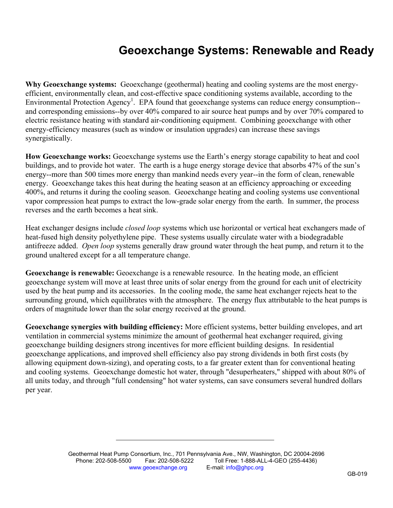## **Geoexchange Systems: Renewable and Ready**

**Why Geoexchange systems:** Geoexchange (geothermal) heating and cooling systems are the most energyefficient, environmentally clean, and cost-effective space conditioning systems available, according to the Environmental Protection Agency<sup>[1](#page-1-0)</sup>. EPA found that geoexchange systems can reduce energy consumption-and corresponding emissions--by over 40% compared to air source heat pumps and by over 70% compared to electric resistance heating with standard air-conditioning equipment. Combining geoexchange with other energy-efficiency measures (such as window or insulation upgrades) can increase these savings synergistically.

**How Geoexchange works:** Geoexchange systems use the Earth's energy storage capability to heat and cool buildings, and to provide hot water. The earth is a huge energy storage device that absorbs 47% of the sun's energy--more than 500 times more energy than mankind needs every year--in the form of clean, renewable energy. Geoexchange takes this heat during the heating season at an efficiency approaching or exceeding 400%, and returns it during the cooling season. Geoexchange heating and cooling systems use conventional vapor compression heat pumps to extract the low-grade solar energy from the earth. In summer, the process reverses and the earth becomes a heat sink.

Heat exchanger designs include *closed loop* systems which use horizontal or vertical heat exchangers made of heat-fused high density polyethylene pipe. These systems usually circulate water with a biodegradable antifreeze added. *Open loop* systems generally draw ground water through the heat pump, and return it to the ground unaltered except for a all temperature change.

**Geoexchange is renewable:** Geoexchange is a renewable resource. In the heating mode, an efficient geoexchange system will move at least three units of solar energy from the ground for each unit of electricity used by the heat pump and its accessories. In the cooling mode, the same heat exchanger rejects heat to the surrounding ground, which equilibrates with the atmosphere. The energy flux attributable to the heat pumps is orders of magnitude lower than the solar energy received at the ground.

**Geoexchange synergies with building efficiency:** More efficient systems, better building envelopes, and art ventilation in commercial systems minimize the amount of geothermal heat exchanger required, giving geoexchange building designers strong incentives for more efficient building designs. In residential geoexchange applications, and improved shell efficiency also pay strong dividends in both first costs (by allowing equipment down-sizing), and operating costs, to a far greater extent than for conventional heating and cooling systems. Geoexchange domestic hot water, through "desuperheaters," shipped with about 80% of all units today, and through "full condensing" hot water systems, can save consumers several hundred dollars per year.